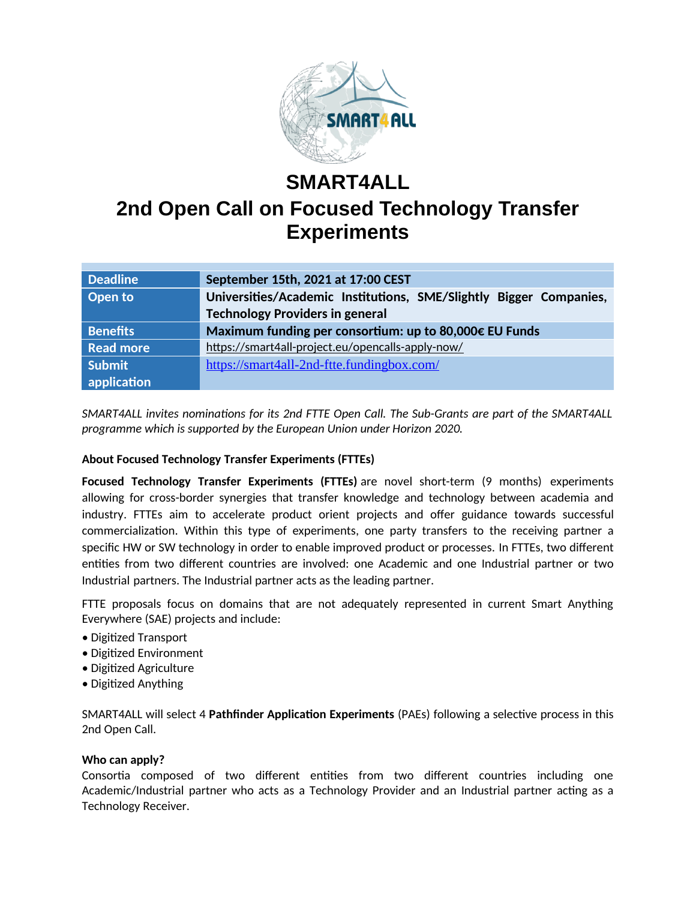

# **SMART4ALL 2nd Open Call on Focused Technology Transfer Experiments**

| <b>Deadline</b>  | September 15th, 2021 at 17:00 CEST                                 |
|------------------|--------------------------------------------------------------------|
| Open to          | Universities/Academic Institutions, SME/Slightly Bigger Companies, |
|                  | <b>Technology Providers in general</b>                             |
| <b>Benefits</b>  | Maximum funding per consortium: up to 80,000€ EU Funds             |
| <b>Read more</b> | https://smart4all-project.eu/opencalls-apply-now/                  |
| Submit           | https://smart4all-2nd-ftte.fundingbox.com/                         |
| application      |                                                                    |

*SMART4ALL invites nominations for its 2nd FTTE Open Call. The Sub-Grants are part of the SMART4ALL programme which is supported by the European Union under Horizon 2020.*

## **About Focused Technology Transfer Experiments (FTTEs)**

**Focused Technology Transfer Experiments (FTTEs)** are novel short-term (9 months) experiments allowing for cross-border synergies that transfer knowledge and technology between academia and industry. FTTEs aim to accelerate product orient projects and offer guidance towards successful commercialization. Within this type of experiments, one party transfers to the receiving partner a specific HW or SW technology in order to enable improved product or processes. In FTTEs, two different entities from two different countries are involved: one Academic and one Industrial partner or two Industrial partners. The Industrial partner acts as the leading partner.

FTTE proposals focus on domains that are not adequately represented in current Smart Anything Everywhere (SAE) projects and include:

- Digitized Transport
- Digitized Environment
- Digitized Agriculture
- Digitized Anything

SMART4ALL will select 4 **Pathfinder Application Experiments** (PAEs) following a selective process in this 2nd Open Call.

### **Who can apply?**

Consortia composed of two different entities from two different countries including one Academic/Industrial partner who acts as a Technology Provider and an Industrial partner acting as a Technology Receiver.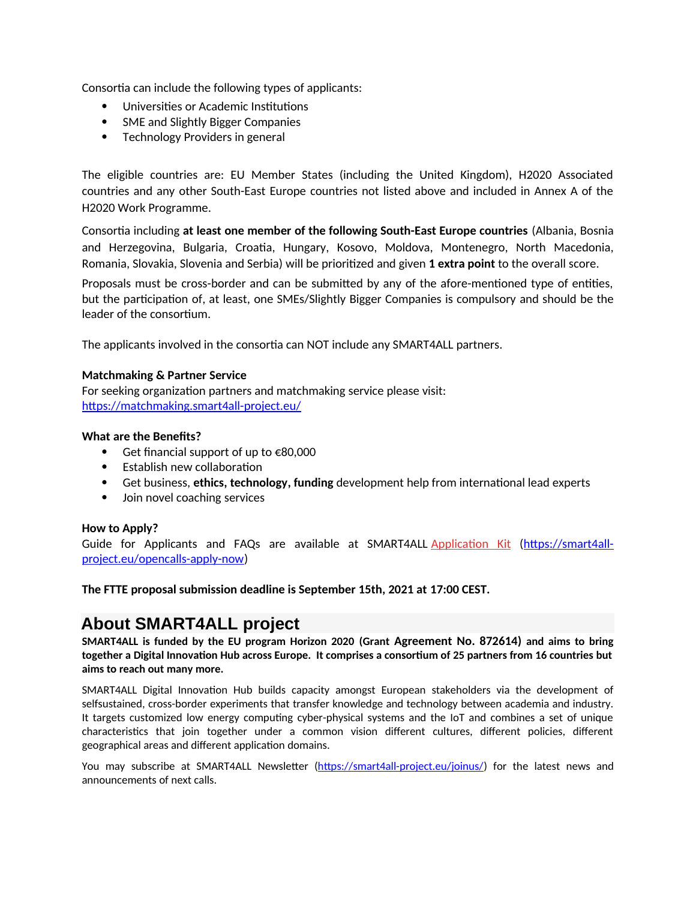Consortia can include the following types of applicants:

- Universities or Academic Institutions
- SME and Slightly Bigger Companies
- Technology Providers in general

The eligible countries are: EU Member States (including the United Kingdom), H2020 Associated countries and any other South-East Europe countries not listed above and included in Annex A of the H2020 Work Programme.

Consortia including **at least one member of the following South-East Europe countries** (Albania, Bosnia and Herzegovina, Bulgaria, Croatia, Hungary, Kosovo, Moldova, Montenegro, North Macedonia, Romania, Slovakia, Slovenia and Serbia) will be prioritized and given **1 extra point** to the overall score.

Proposals must be cross-border and can be submitted by any of the afore-mentioned type of entities, but the participation of, at least, one SMEs/Slightly Bigger Companies is compulsory and should be the leader of the consortium.

The applicants involved in the consortia can NOT include any SMART4ALL partners.

### **Matchmaking & Partner Service**

For seeking organization partners and matchmaking service please visit: https://matchmaking.smart4all-project.eu/

#### **What are the Benefits?**

- Get financial support of up to €80,000
- Establish new collaboration
- Get business, **ethics, technology, funding** development help from international lead experts
- Join novel coaching services

#### **How to Apply?**

Guide for Applicants and FAQs are available at SMART4ALL Application Κit ([https://smart4all](https://smart4all-project.eu/opencalls-apply-now)[project.eu/opencalls-apply-now\)](https://smart4all-project.eu/opencalls-apply-now)

**The FTTE proposal submission deadline is September 15th, 2021 at 17:00 CEST.**

# **About SMART4ALL project**

**SMART4ALL is funded by the EU program Horizon 2020 (Grant Agreement No. 872614) and aims to bring together a Digital Innovation Hub across Europe. It comprises a consortium of 25 partners from 16 countries but aims to reach out many more.** 

SMART4ALL Digital Innovation Hub builds capacity amongst European stakeholders via the development of selfsustained, cross-border experiments that transfer knowledge and technology between academia and industry. It targets customized low energy computing cyber-physical systems and the IoT and combines a set of unique characteristics that join together under a common vision different cultures, different policies, different geographical areas and different application domains.

You may subscribe at SMART4ALL Newsletter (https://smart4all-project.eu/joinus/) for the latest news and announcements of next calls.